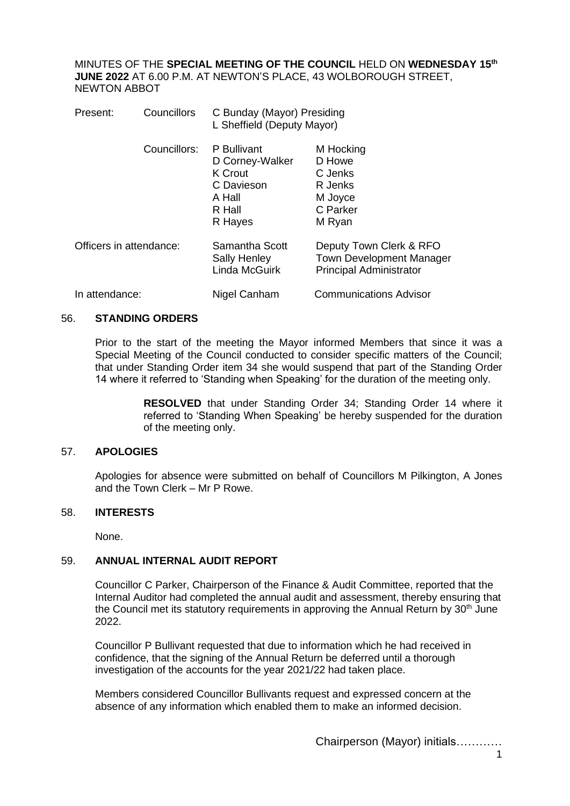MINUTES OF THE **SPECIAL MEETING OF THE COUNCIL** HELD ON **WEDNESDAY 15th JUNE 2022** AT 6.00 P.M. AT NEWTON'S PLACE, 43 WOLBOROUGH STREET, NEWTON ABBOT

| Present:                | Councillors  | C Bunday (Mayor) Presiding<br>L Sheffield (Deputy Mayor)                               |                                                                                              |
|-------------------------|--------------|----------------------------------------------------------------------------------------|----------------------------------------------------------------------------------------------|
|                         | Councillors: | P Bullivant<br>D Corney-Walker<br>K Crout<br>C Davieson<br>A Hall<br>R Hall<br>R Hayes | M Hocking<br>D Howe<br>C Jenks<br>R Jenks<br>M Joyce<br>C Parker<br>M Ryan                   |
| Officers in attendance: |              | Samantha Scott<br><b>Sally Henley</b><br>Linda McGuirk                                 | Deputy Town Clerk & RFO<br><b>Town Development Manager</b><br><b>Principal Administrator</b> |
| In attendance:          |              | Nigel Canham                                                                           | <b>Communications Advisor</b>                                                                |

## 56. **STANDING ORDERS**

Prior to the start of the meeting the Mayor informed Members that since it was a Special Meeting of the Council conducted to consider specific matters of the Council; that under Standing Order item 34 she would suspend that part of the Standing Order 14 where it referred to 'Standing when Speaking' for the duration of the meeting only.

> **RESOLVED** that under Standing Order 34; Standing Order 14 where it referred to 'Standing When Speaking' be hereby suspended for the duration of the meeting only.

## 57. **APOLOGIES**

Apologies for absence were submitted on behalf of Councillors M Pilkington, A Jones and the Town Clerk – Mr P Rowe.

## 58. **INTERESTS**

None.

## 59. **ANNUAL INTERNAL AUDIT REPORT**

Councillor C Parker, Chairperson of the Finance & Audit Committee, reported that the Internal Auditor had completed the annual audit and assessment, thereby ensuring that the Council met its statutory requirements in approving the Annual Return by  $30<sup>th</sup>$  June 2022.

Councillor P Bullivant requested that due to information which he had received in confidence, that the signing of the Annual Return be deferred until a thorough investigation of the accounts for the year 2021/22 had taken place.

Members considered Councillor Bullivants request and expressed concern at the absence of any information which enabled them to make an informed decision.